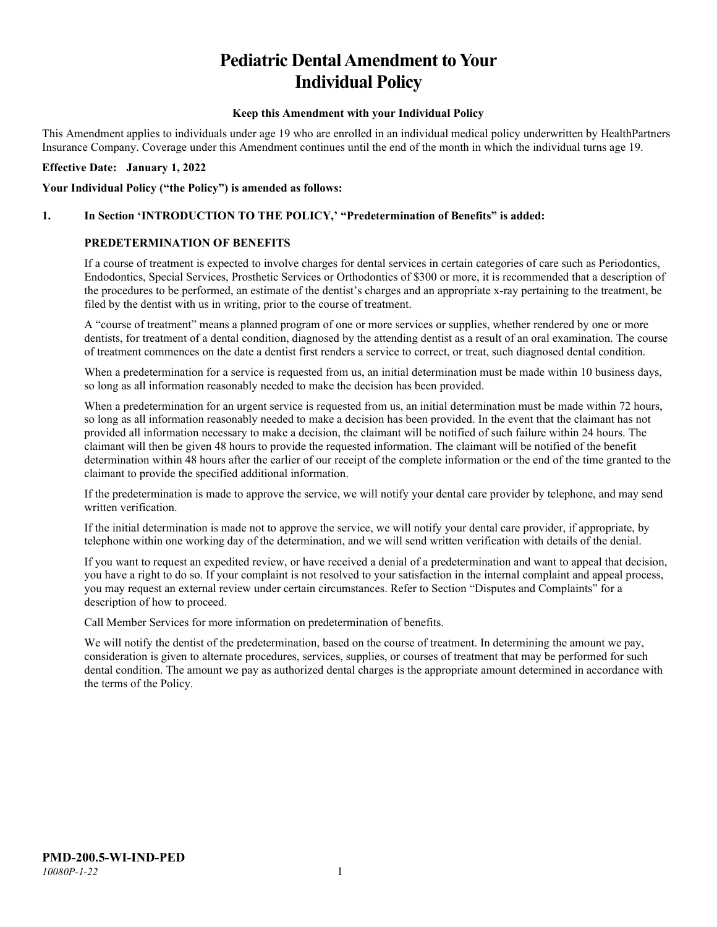# **Pediatric Dental Amendment to Your Individual Policy**

#### **Keep this Amendment with your Individual Policy**

This Amendment applies to individuals under age 19 who are enrolled in an individual medical policy underwritten by HealthPartners Insurance Company. Coverage under this Amendment continues until the end of the month in which the individual turns age 19.

#### **Effective Date: January 1, 2022**

#### **Your Individual Policy ("the Policy") is amended as follows:**

# **1. In Section 'INTRODUCTION TO THE POLICY,' "Predetermination of Benefits" is added:**

# **PREDETERMINATION OF BENEFITS**

If a course of treatment is expected to involve charges for dental services in certain categories of care such as Periodontics, Endodontics, Special Services, Prosthetic Services or Orthodontics of \$300 or more, it is recommended that a description of the procedures to be performed, an estimate of the dentist's charges and an appropriate x-ray pertaining to the treatment, be filed by the dentist with us in writing, prior to the course of treatment.

A "course of treatment" means a planned program of one or more services or supplies, whether rendered by one or more dentists, for treatment of a dental condition, diagnosed by the attending dentist as a result of an oral examination. The course of treatment commences on the date a dentist first renders a service to correct, or treat, such diagnosed dental condition.

When a predetermination for a service is requested from us, an initial determination must be made within 10 business days, so long as all information reasonably needed to make the decision has been provided.

When a predetermination for an urgent service is requested from us, an initial determination must be made within 72 hours, so long as all information reasonably needed to make a decision has been provided. In the event that the claimant has not provided all information necessary to make a decision, the claimant will be notified of such failure within 24 hours. The claimant will then be given 48 hours to provide the requested information. The claimant will be notified of the benefit determination within 48 hours after the earlier of our receipt of the complete information or the end of the time granted to the claimant to provide the specified additional information.

If the predetermination is made to approve the service, we will notify your dental care provider by telephone, and may send written verification.

If the initial determination is made not to approve the service, we will notify your dental care provider, if appropriate, by telephone within one working day of the determination, and we will send written verification with details of the denial.

If you want to request an expedited review, or have received a denial of a predetermination and want to appeal that decision, you have a right to do so. If your complaint is not resolved to your satisfaction in the internal complaint and appeal process, you may request an external review under certain circumstances. Refer to Section "Disputes and Complaints" for a description of how to proceed.

Call Member Services for more information on predetermination of benefits.

We will notify the dentist of the predetermination, based on the course of treatment. In determining the amount we pay, consideration is given to alternate procedures, services, supplies, or courses of treatment that may be performed for such dental condition. The amount we pay as authorized dental charges is the appropriate amount determined in accordance with the terms of the Policy.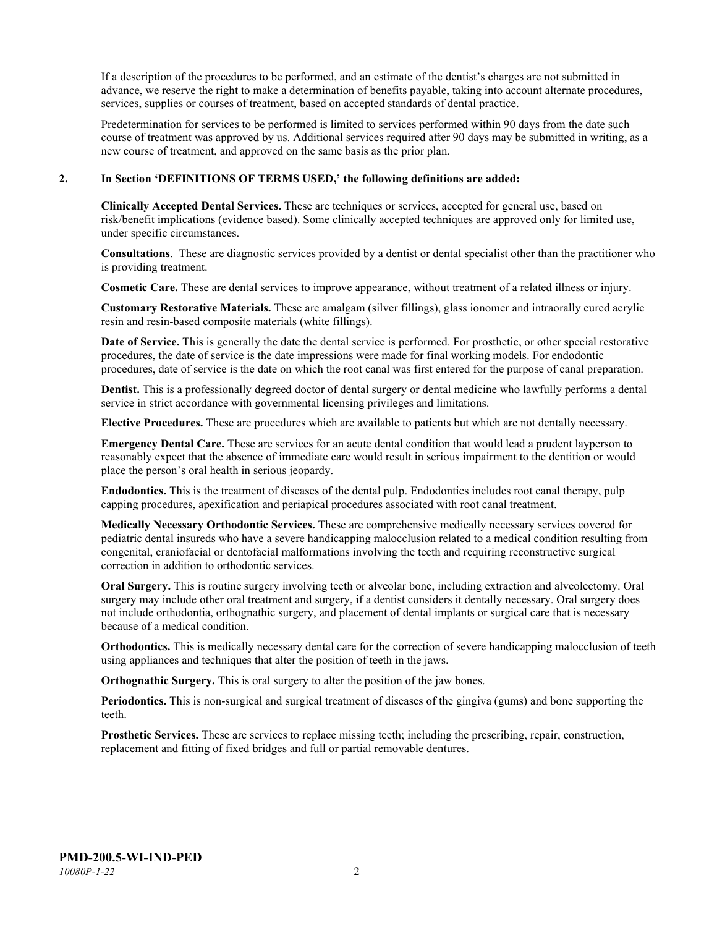If a description of the procedures to be performed, and an estimate of the dentist's charges are not submitted in advance, we reserve the right to make a determination of benefits payable, taking into account alternate procedures, services, supplies or courses of treatment, based on accepted standards of dental practice.

Predetermination for services to be performed is limited to services performed within 90 days from the date such course of treatment was approved by us. Additional services required after 90 days may be submitted in writing, as a new course of treatment, and approved on the same basis as the prior plan.

#### **2. In Section 'DEFINITIONS OF TERMS USED,' the following definitions are added:**

**Clinically Accepted Dental Services.** These are techniques or services, accepted for general use, based on risk/benefit implications (evidence based). Some clinically accepted techniques are approved only for limited use, under specific circumstances.

**Consultations**. These are diagnostic services provided by a dentist or dental specialist other than the practitioner who is providing treatment.

**Cosmetic Care.** These are dental services to improve appearance, without treatment of a related illness or injury.

**Customary Restorative Materials.** These are amalgam (silver fillings), glass ionomer and intraorally cured acrylic resin and resin-based composite materials (white fillings).

**Date of Service.** This is generally the date the dental service is performed. For prosthetic, or other special restorative procedures, the date of service is the date impressions were made for final working models. For endodontic procedures, date of service is the date on which the root canal was first entered for the purpose of canal preparation.

**Dentist.** This is a professionally degreed doctor of dental surgery or dental medicine who lawfully performs a dental service in strict accordance with governmental licensing privileges and limitations.

**Elective Procedures.** These are procedures which are available to patients but which are not dentally necessary.

**Emergency Dental Care.** These are services for an acute dental condition that would lead a prudent layperson to reasonably expect that the absence of immediate care would result in serious impairment to the dentition or would place the person's oral health in serious jeopardy.

**Endodontics.** This is the treatment of diseases of the dental pulp. Endodontics includes root canal therapy, pulp capping procedures, apexification and periapical procedures associated with root canal treatment.

**Medically Necessary Orthodontic Services.** These are comprehensive medically necessary services covered for pediatric dental insureds who have a severe handicapping malocclusion related to a medical condition resulting from congenital, craniofacial or dentofacial malformations involving the teeth and requiring reconstructive surgical correction in addition to orthodontic services.

**Oral Surgery.** This is routine surgery involving teeth or alveolar bone, including extraction and alveolectomy. Oral surgery may include other oral treatment and surgery, if a dentist considers it dentally necessary. Oral surgery does not include orthodontia, orthognathic surgery, and placement of dental implants or surgical care that is necessary because of a medical condition.

**Orthodontics.** This is medically necessary dental care for the correction of severe handicapping malocclusion of teeth using appliances and techniques that alter the position of teeth in the jaws.

**Orthognathic Surgery.** This is oral surgery to alter the position of the jaw bones.

**Periodontics.** This is non-surgical and surgical treatment of diseases of the gingiva (gums) and bone supporting the teeth.

**Prosthetic Services.** These are services to replace missing teeth; including the prescribing, repair, construction, replacement and fitting of fixed bridges and full or partial removable dentures.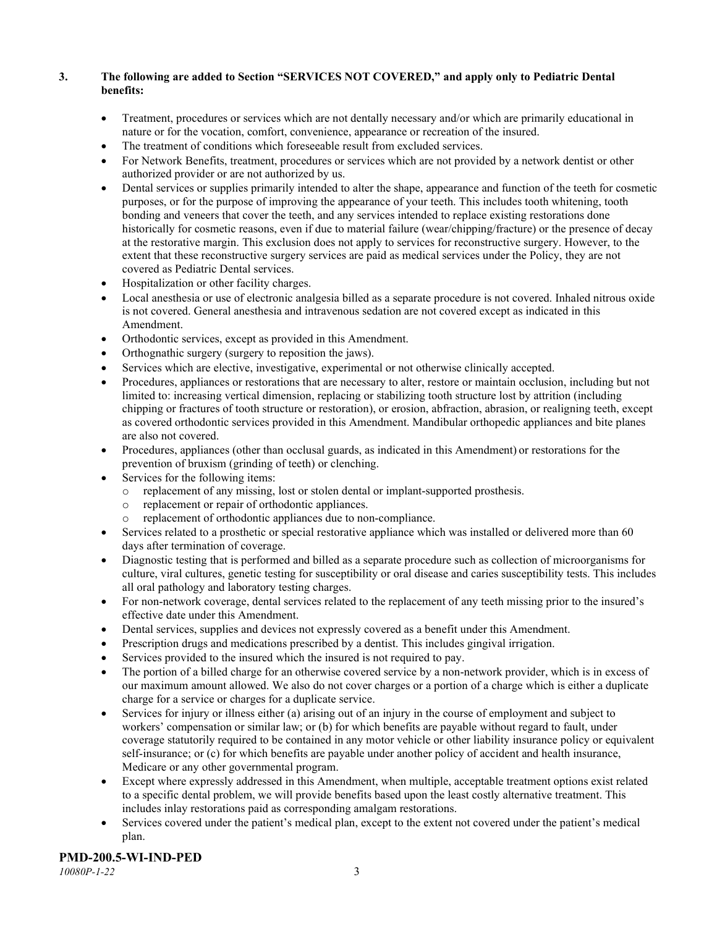## **3. The following are added to Section "SERVICES NOT COVERED," and apply only to Pediatric Dental benefits:**

- Treatment, procedures or services which are not dentally necessary and/or which are primarily educational in nature or for the vocation, comfort, convenience, appearance or recreation of the insured.
- The treatment of conditions which foreseeable result from excluded services.
- For Network Benefits, treatment, procedures or services which are not provided by a network dentist or other authorized provider or are not authorized by us.
- Dental services or supplies primarily intended to alter the shape, appearance and function of the teeth for cosmetic purposes, or for the purpose of improving the appearance of your teeth. This includes tooth whitening, tooth bonding and veneers that cover the teeth, and any services intended to replace existing restorations done historically for cosmetic reasons, even if due to material failure (wear/chipping/fracture) or the presence of decay at the restorative margin. This exclusion does not apply to services for reconstructive surgery. However, to the extent that these reconstructive surgery services are paid as medical services under the Policy, they are not covered as Pediatric Dental services.
- Hospitalization or other facility charges.
- Local anesthesia or use of electronic analgesia billed as a separate procedure is not covered. Inhaled nitrous oxide is not covered. General anesthesia and intravenous sedation are not covered except as indicated in this Amendment.
- Orthodontic services, except as provided in this Amendment.
- Orthognathic surgery (surgery to reposition the jaws).
- Services which are elective, investigative, experimental or not otherwise clinically accepted.
- Procedures, appliances or restorations that are necessary to alter, restore or maintain occlusion, including but not limited to: increasing vertical dimension, replacing or stabilizing tooth structure lost by attrition (including chipping or fractures of tooth structure or restoration), or erosion, abfraction, abrasion, or realigning teeth, except as covered orthodontic services provided in this Amendment. Mandibular orthopedic appliances and bite planes are also not covered.
- Procedures, appliances (other than occlusal guards, as indicated in this Amendment) or restorations for the prevention of bruxism (grinding of teeth) or clenching.
- Services for the following items:
	- o replacement of any missing, lost or stolen dental or implant-supported prosthesis.
	- replacement or repair of orthodontic appliances.
	- replacement of orthodontic appliances due to non-compliance.
- Services related to a prosthetic or special restorative appliance which was installed or delivered more than 60 days after termination of coverage.
- Diagnostic testing that is performed and billed as a separate procedure such as collection of microorganisms for culture, viral cultures, genetic testing for susceptibility or oral disease and caries susceptibility tests. This includes all oral pathology and laboratory testing charges.
- For non-network coverage, dental services related to the replacement of any teeth missing prior to the insured's effective date under this Amendment.
- Dental services, supplies and devices not expressly covered as a benefit under this Amendment.
- Prescription drugs and medications prescribed by a dentist. This includes gingival irrigation.
- Services provided to the insured which the insured is not required to pay.
- The portion of a billed charge for an otherwise covered service by a non-network provider, which is in excess of our maximum amount allowed. We also do not cover charges or a portion of a charge which is either a duplicate charge for a service or charges for a duplicate service.
- Services for injury or illness either (a) arising out of an injury in the course of employment and subject to workers' compensation or similar law; or (b) for which benefits are payable without regard to fault, under coverage statutorily required to be contained in any motor vehicle or other liability insurance policy or equivalent self-insurance; or (c) for which benefits are payable under another policy of accident and health insurance, Medicare or any other governmental program.
- Except where expressly addressed in this Amendment, when multiple, acceptable treatment options exist related to a specific dental problem, we will provide benefits based upon the least costly alternative treatment. This includes inlay restorations paid as corresponding amalgam restorations.
- Services covered under the patient's medical plan, except to the extent not covered under the patient's medical plan.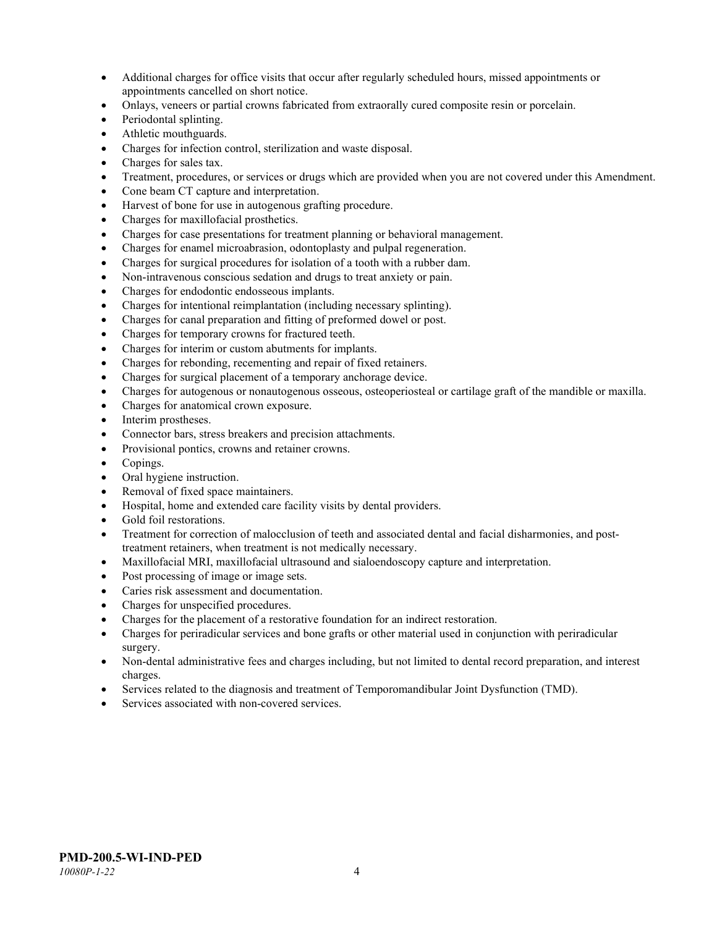- Additional charges for office visits that occur after regularly scheduled hours, missed appointments or appointments cancelled on short notice.
- Onlays, veneers or partial crowns fabricated from extraorally cured composite resin or porcelain.
- Periodontal splinting.
- Athletic mouthguards.
- Charges for infection control, sterilization and waste disposal.
- Charges for sales tax.
- Treatment, procedures, or services or drugs which are provided when you are not covered under this Amendment.
- Cone beam CT capture and interpretation.
- Harvest of bone for use in autogenous grafting procedure.
- Charges for maxillofacial prosthetics.
- Charges for case presentations for treatment planning or behavioral management.
- Charges for enamel microabrasion, odontoplasty and pulpal regeneration.
- Charges for surgical procedures for isolation of a tooth with a rubber dam.
- Non-intravenous conscious sedation and drugs to treat anxiety or pain.
- Charges for endodontic endosseous implants.
- Charges for intentional reimplantation (including necessary splinting).
- Charges for canal preparation and fitting of preformed dowel or post.
- Charges for temporary crowns for fractured teeth.
- Charges for interim or custom abutments for implants.
- Charges for rebonding, recementing and repair of fixed retainers.
- Charges for surgical placement of a temporary anchorage device.
- Charges for autogenous or nonautogenous osseous, osteoperiosteal or cartilage graft of the mandible or maxilla.
- Charges for anatomical crown exposure.
- Interim prostheses.
- Connector bars, stress breakers and precision attachments.
- Provisional pontics, crowns and retainer crowns.
- Copings.
- Oral hygiene instruction.
- Removal of fixed space maintainers.
- Hospital, home and extended care facility visits by dental providers.
- Gold foil restorations.
- Treatment for correction of malocclusion of teeth and associated dental and facial disharmonies, and posttreatment retainers, when treatment is not medically necessary.
- Maxillofacial MRI, maxillofacial ultrasound and sialoendoscopy capture and interpretation.
- Post processing of image or image sets.
- Caries risk assessment and documentation.
- Charges for unspecified procedures.
- Charges for the placement of a restorative foundation for an indirect restoration.
- Charges for periradicular services and bone grafts or other material used in conjunction with periradicular surgery.
- Non-dental administrative fees and charges including, but not limited to dental record preparation, and interest charges.
- Services related to the diagnosis and treatment of Temporomandibular Joint Dysfunction (TMD).
- Services associated with non-covered services.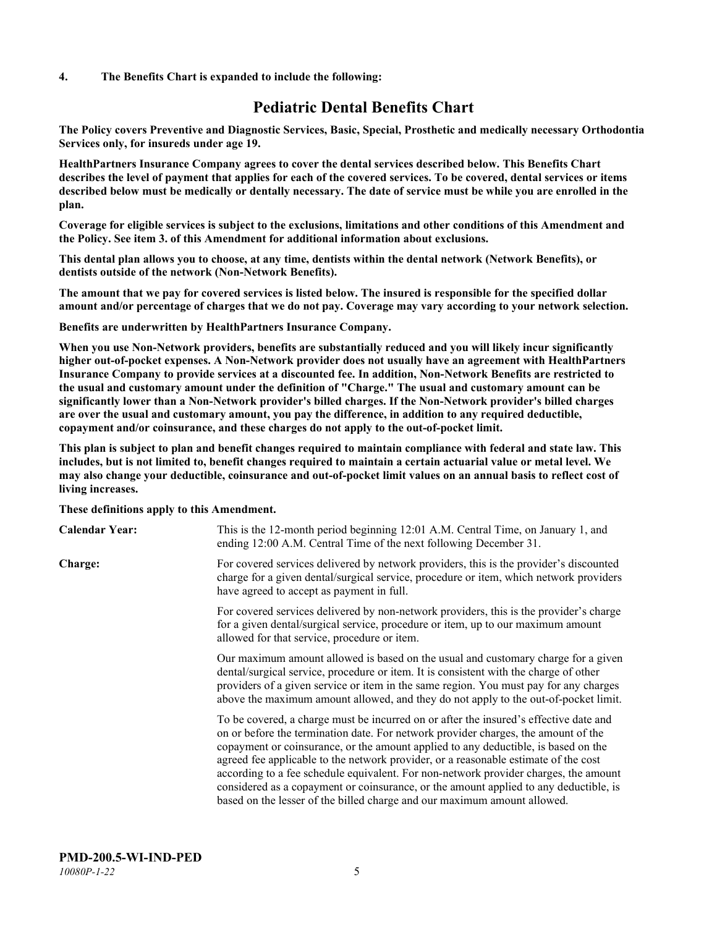#### **4. The Benefits Chart is expanded to include the following:**

# **Pediatric Dental Benefits Chart**

**The Policy covers Preventive and Diagnostic Services, Basic, Special, Prosthetic and medically necessary Orthodontia Services only, for insureds under age 19.**

**HealthPartners Insurance Company agrees to cover the dental services described below. This Benefits Chart describes the level of payment that applies for each of the covered services. To be covered, dental services or items described below must be medically or dentally necessary. The date of service must be while you are enrolled in the plan.**

**Coverage for eligible services is subject to the exclusions, limitations and other conditions of this Amendment and the Policy. See item 3. of this Amendment for additional information about exclusions.**

**This dental plan allows you to choose, at any time, dentists within the dental network (Network Benefits), or dentists outside of the network (Non-Network Benefits).**

**The amount that we pay for covered services is listed below. The insured is responsible for the specified dollar amount and/or percentage of charges that we do not pay. Coverage may vary according to your network selection.**

**Benefits are underwritten by HealthPartners Insurance Company.**

**When you use Non-Network providers, benefits are substantially reduced and you will likely incur significantly higher out-of-pocket expenses. A Non-Network provider does not usually have an agreement with HealthPartners Insurance Company to provide services at a discounted fee. In addition, Non-Network Benefits are restricted to the usual and customary amount under the definition of "Charge." The usual and customary amount can be significantly lower than a Non-Network provider's billed charges. If the Non-Network provider's billed charges are over the usual and customary amount, you pay the difference, in addition to any required deductible, copayment and/or coinsurance, and these charges do not apply to the out-of-pocket limit.**

**This plan is subject to plan and benefit changes required to maintain compliance with federal and state law. This includes, but is not limited to, benefit changes required to maintain a certain actuarial value or metal level. We may also change your deductible, coinsurance and out-of-pocket limit values on an annual basis to reflect cost of living increases.**

#### **These definitions apply to this Amendment.**

| <b>Calendar Year:</b> | This is the 12-month period beginning 12:01 A.M. Central Time, on January 1, and<br>ending 12:00 A.M. Central Time of the next following December 31.                                                                                                                                                                                                                                                                                                                                                                                                                                                                 |
|-----------------------|-----------------------------------------------------------------------------------------------------------------------------------------------------------------------------------------------------------------------------------------------------------------------------------------------------------------------------------------------------------------------------------------------------------------------------------------------------------------------------------------------------------------------------------------------------------------------------------------------------------------------|
| <b>Charge:</b>        | For covered services delivered by network providers, this is the provider's discounted<br>charge for a given dental/surgical service, procedure or item, which network providers<br>have agreed to accept as payment in full.                                                                                                                                                                                                                                                                                                                                                                                         |
|                       | For covered services delivered by non-network providers, this is the provider's charge<br>for a given dental/surgical service, procedure or item, up to our maximum amount<br>allowed for that service, procedure or item.                                                                                                                                                                                                                                                                                                                                                                                            |
|                       | Our maximum amount allowed is based on the usual and customary charge for a given<br>dental/surgical service, procedure or item. It is consistent with the charge of other<br>providers of a given service or item in the same region. You must pay for any charges<br>above the maximum amount allowed, and they do not apply to the out-of-pocket limit.                                                                                                                                                                                                                                                            |
|                       | To be covered, a charge must be incurred on or after the insured's effective date and<br>on or before the termination date. For network provider charges, the amount of the<br>copayment or coinsurance, or the amount applied to any deductible, is based on the<br>agreed fee applicable to the network provider, or a reasonable estimate of the cost<br>according to a fee schedule equivalent. For non-network provider charges, the amount<br>considered as a copayment or coinsurance, or the amount applied to any deductible, is<br>based on the lesser of the billed charge and our maximum amount allowed. |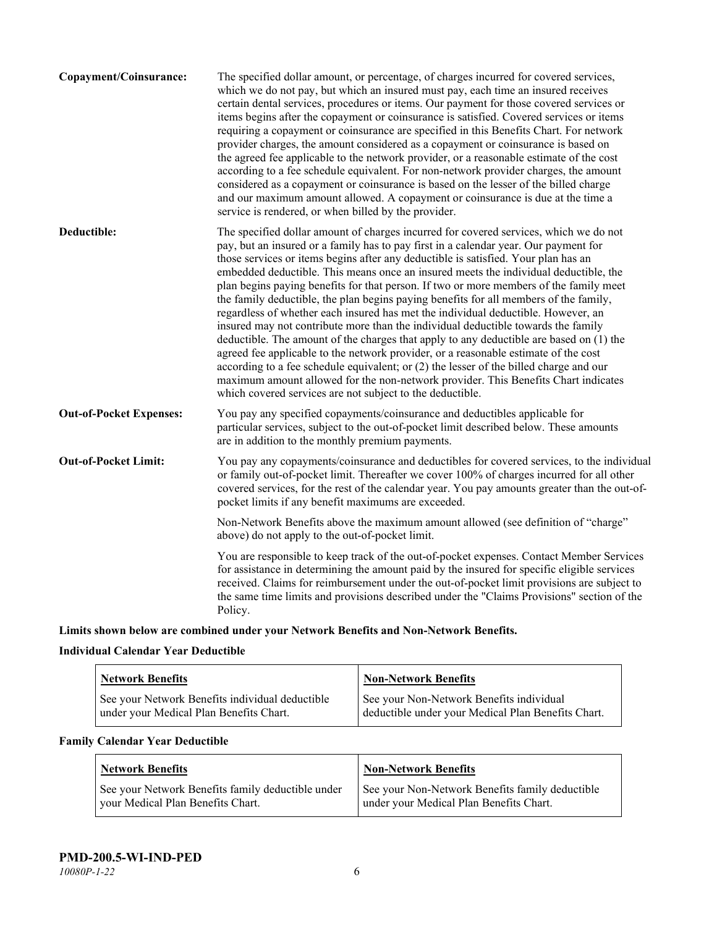| The specified dollar amount, or percentage, of charges incurred for covered services,<br>which we do not pay, but which an insured must pay, each time an insured receives<br>certain dental services, procedures or items. Our payment for those covered services or<br>items begins after the copayment or coinsurance is satisfied. Covered services or items<br>requiring a copayment or coinsurance are specified in this Benefits Chart. For network<br>provider charges, the amount considered as a copayment or coinsurance is based on<br>the agreed fee applicable to the network provider, or a reasonable estimate of the cost<br>according to a fee schedule equivalent. For non-network provider charges, the amount<br>considered as a copayment or coinsurance is based on the lesser of the billed charge<br>and our maximum amount allowed. A copayment or coinsurance is due at the time a<br>service is rendered, or when billed by the provider.                                                                                                                                                                                   |
|---------------------------------------------------------------------------------------------------------------------------------------------------------------------------------------------------------------------------------------------------------------------------------------------------------------------------------------------------------------------------------------------------------------------------------------------------------------------------------------------------------------------------------------------------------------------------------------------------------------------------------------------------------------------------------------------------------------------------------------------------------------------------------------------------------------------------------------------------------------------------------------------------------------------------------------------------------------------------------------------------------------------------------------------------------------------------------------------------------------------------------------------------------|
| The specified dollar amount of charges incurred for covered services, which we do not<br>pay, but an insured or a family has to pay first in a calendar year. Our payment for<br>those services or items begins after any deductible is satisfied. Your plan has an<br>embedded deductible. This means once an insured meets the individual deductible, the<br>plan begins paying benefits for that person. If two or more members of the family meet<br>the family deductible, the plan begins paying benefits for all members of the family,<br>regardless of whether each insured has met the individual deductible. However, an<br>insured may not contribute more than the individual deductible towards the family<br>deductible. The amount of the charges that apply to any deductible are based on (1) the<br>agreed fee applicable to the network provider, or a reasonable estimate of the cost<br>according to a fee schedule equivalent; or (2) the lesser of the billed charge and our<br>maximum amount allowed for the non-network provider. This Benefits Chart indicates<br>which covered services are not subject to the deductible. |
| You pay any specified copayments/coinsurance and deductibles applicable for<br>particular services, subject to the out-of-pocket limit described below. These amounts<br>are in addition to the monthly premium payments.                                                                                                                                                                                                                                                                                                                                                                                                                                                                                                                                                                                                                                                                                                                                                                                                                                                                                                                               |
| You pay any copayments/coinsurance and deductibles for covered services, to the individual<br>or family out-of-pocket limit. Thereafter we cover 100% of charges incurred for all other<br>covered services, for the rest of the calendar year. You pay amounts greater than the out-of-<br>pocket limits if any benefit maximums are exceeded.                                                                                                                                                                                                                                                                                                                                                                                                                                                                                                                                                                                                                                                                                                                                                                                                         |
| Non-Network Benefits above the maximum amount allowed (see definition of "charge"<br>above) do not apply to the out-of-pocket limit.                                                                                                                                                                                                                                                                                                                                                                                                                                                                                                                                                                                                                                                                                                                                                                                                                                                                                                                                                                                                                    |
| You are responsible to keep track of the out-of-pocket expenses. Contact Member Services<br>for assistance in determining the amount paid by the insured for specific eligible services<br>received. Claims for reimbursement under the out-of-pocket limit provisions are subject to<br>the same time limits and provisions described under the "Claims Provisions" section of the<br>Policy.                                                                                                                                                                                                                                                                                                                                                                                                                                                                                                                                                                                                                                                                                                                                                          |
|                                                                                                                                                                                                                                                                                                                                                                                                                                                                                                                                                                                                                                                                                                                                                                                                                                                                                                                                                                                                                                                                                                                                                         |

**Limits shown below are combined under your Network Benefits and Non-Network Benefits.**

# **Individual Calendar Year Deductible**

| <b>Network Benefits</b>                                                                    | <b>Non-Network Benefits</b>                                                                    |
|--------------------------------------------------------------------------------------------|------------------------------------------------------------------------------------------------|
| See your Network Benefits individual deductible<br>under your Medical Plan Benefits Chart. | See your Non-Network Benefits individual<br>deductible under your Medical Plan Benefits Chart. |

# **Family Calendar Year Deductible**

| Network Benefits                                  | <b>Non-Network Benefits</b>                     |
|---------------------------------------------------|-------------------------------------------------|
| See your Network Benefits family deductible under | See your Non-Network Benefits family deductible |
| vour Medical Plan Benefits Chart.                 | under your Medical Plan Benefits Chart.         |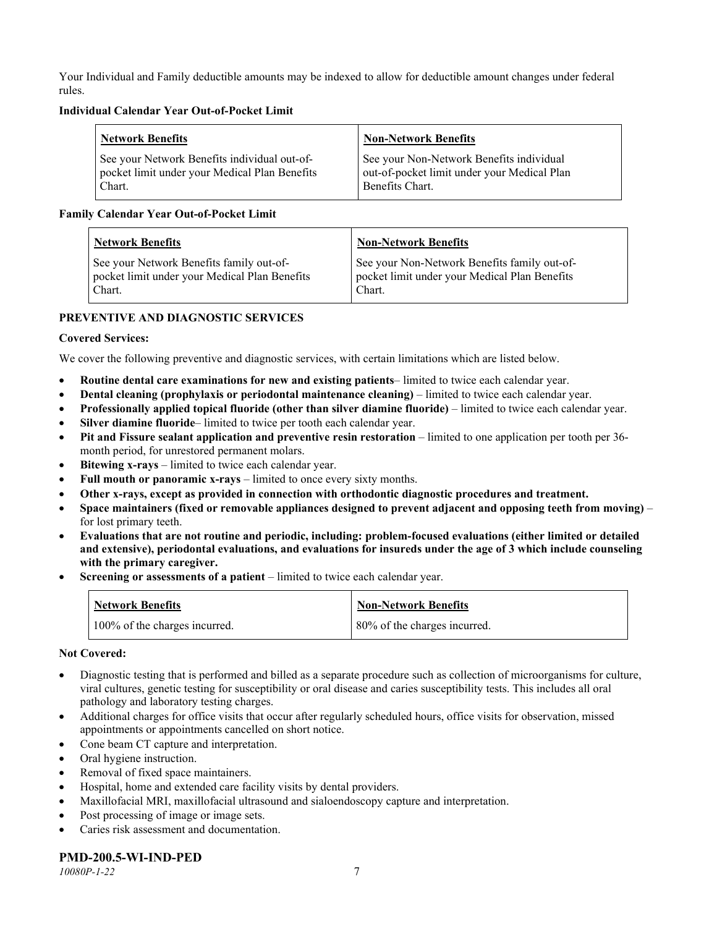Your Individual and Family deductible amounts may be indexed to allow for deductible amount changes under federal rules.

#### **Individual Calendar Year Out-of-Pocket Limit**

| Network Benefits                              | <b>Non-Network Benefits</b>                 |
|-----------------------------------------------|---------------------------------------------|
| See your Network Benefits individual out-of-  | See your Non-Network Benefits individual    |
| pocket limit under your Medical Plan Benefits | out-of-pocket limit under your Medical Plan |
| Chart.                                        | Benefits Chart.                             |

### **Family Calendar Year Out-of-Pocket Limit**

| <b>Network Benefits</b>                       | <b>Non-Network Benefits</b>                   |
|-----------------------------------------------|-----------------------------------------------|
| See your Network Benefits family out-of-      | See your Non-Network Benefits family out-of-  |
| pocket limit under your Medical Plan Benefits | pocket limit under your Medical Plan Benefits |
| Chart.                                        | Chart.                                        |

# **PREVENTIVE AND DIAGNOSTIC SERVICES**

### **Covered Services:**

We cover the following preventive and diagnostic services, with certain limitations which are listed below.

- **Routine dental care examinations for new and existing patients** limited to twice each calendar year.
- **Dental cleaning (prophylaxis or periodontal maintenance cleaning)** limited to twice each calendar year.
- **Professionally applied topical fluoride (other than silver diamine fluoride)** limited to twice each calendar year.
- **Silver diamine fluoride** limited to twice per tooth each calendar year.
- **Pit and Fissure sealant application and preventive resin restoration** limited to one application per tooth per 36 month period, for unrestored permanent molars.
- **Bitewing x-rays** limited to twice each calendar year.
- **Full mouth or panoramic x-rays** limited to once every sixty months.
- **Other x-rays, except as provided in connection with orthodontic diagnostic procedures and treatment.**
- **Space maintainers (fixed or removable appliances designed to prevent adjacent and opposing teeth from moving)** for lost primary teeth.
- **Evaluations that are not routine and periodic, including: problem-focused evaluations (either limited or detailed and extensive), periodontal evaluations, and evaluations for insureds under the age of 3 which include counseling with the primary caregiver.**
- **Screening or assessments of a patient** limited to twice each calendar year.

| <b>Network Benefits</b>       | <b>Non-Network Benefits</b>  |
|-------------------------------|------------------------------|
| 100% of the charges incurred. | 80% of the charges incurred. |

#### **Not Covered:**

- Diagnostic testing that is performed and billed as a separate procedure such as collection of microorganisms for culture, viral cultures, genetic testing for susceptibility or oral disease and caries susceptibility tests. This includes all oral pathology and laboratory testing charges.
- Additional charges for office visits that occur after regularly scheduled hours, office visits for observation, missed appointments or appointments cancelled on short notice.
- Cone beam CT capture and interpretation.
- Oral hygiene instruction.
- Removal of fixed space maintainers.
- Hospital, home and extended care facility visits by dental providers.
- Maxillofacial MRI, maxillofacial ultrasound and sialoendoscopy capture and interpretation.
- Post processing of image or image sets.
- Caries risk assessment and documentation.

# **PMD-200.5-WI-IND-PED**

*10080P-1-22* 7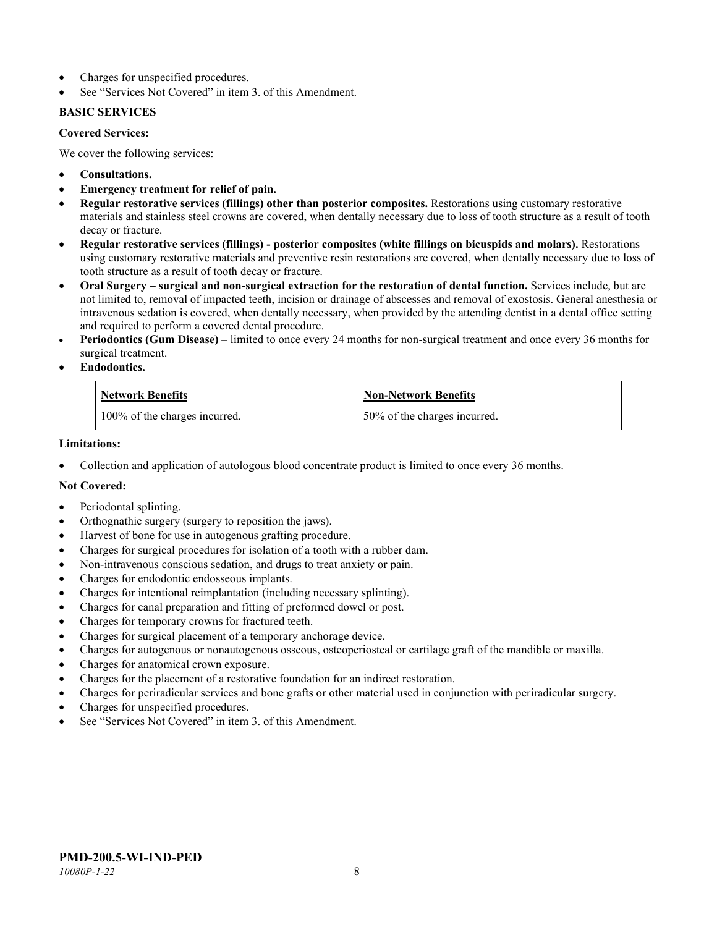- Charges for unspecified procedures.
- See "Services Not Covered" in item 3. of this Amendment.

### **BASIC SERVICES**

#### **Covered Services:**

We cover the following services:

- **Consultations.**
- **Emergency treatment for relief of pain.**
- **Regular restorative services (fillings) other than posterior composites.** Restorations using customary restorative materials and stainless steel crowns are covered, when dentally necessary due to loss of tooth structure as a result of tooth decay or fracture.
- **Regular restorative services (fillings) - posterior composites (white fillings on bicuspids and molars).** Restorations using customary restorative materials and preventive resin restorations are covered, when dentally necessary due to loss of tooth structure as a result of tooth decay or fracture.
- **Oral Surgery – surgical and non-surgical extraction for the restoration of dental function.** Services include, but are not limited to, removal of impacted teeth, incision or drainage of abscesses and removal of exostosis. General anesthesia or intravenous sedation is covered, when dentally necessary, when provided by the attending dentist in a dental office setting and required to perform a covered dental procedure.
- **Periodontics (Gum Disease)** limited to once every 24 months for non-surgical treatment and once every 36 months for surgical treatment.
- **Endodontics.**

| <b>Network Benefits</b>       | <b>Non-Network Benefits</b>  |
|-------------------------------|------------------------------|
| 100% of the charges incurred. | 50% of the charges incurred. |

#### **Limitations:**

• Collection and application of autologous blood concentrate product is limited to once every 36 months.

# **Not Covered:**

- Periodontal splinting.
- Orthognathic surgery (surgery to reposition the jaws).
- Harvest of bone for use in autogenous grafting procedure.
- Charges for surgical procedures for isolation of a tooth with a rubber dam.
- Non-intravenous conscious sedation, and drugs to treat anxiety or pain.
- Charges for endodontic endosseous implants.
- Charges for intentional reimplantation (including necessary splinting).
- Charges for canal preparation and fitting of preformed dowel or post.
- Charges for temporary crowns for fractured teeth.
- Charges for surgical placement of a temporary anchorage device.
- Charges for autogenous or nonautogenous osseous, osteoperiosteal or cartilage graft of the mandible or maxilla.
- Charges for anatomical crown exposure.
- Charges for the placement of a restorative foundation for an indirect restoration.
- Charges for periradicular services and bone grafts or other material used in conjunction with periradicular surgery.
- Charges for unspecified procedures.
- See "Services Not Covered" in item 3. of this Amendment.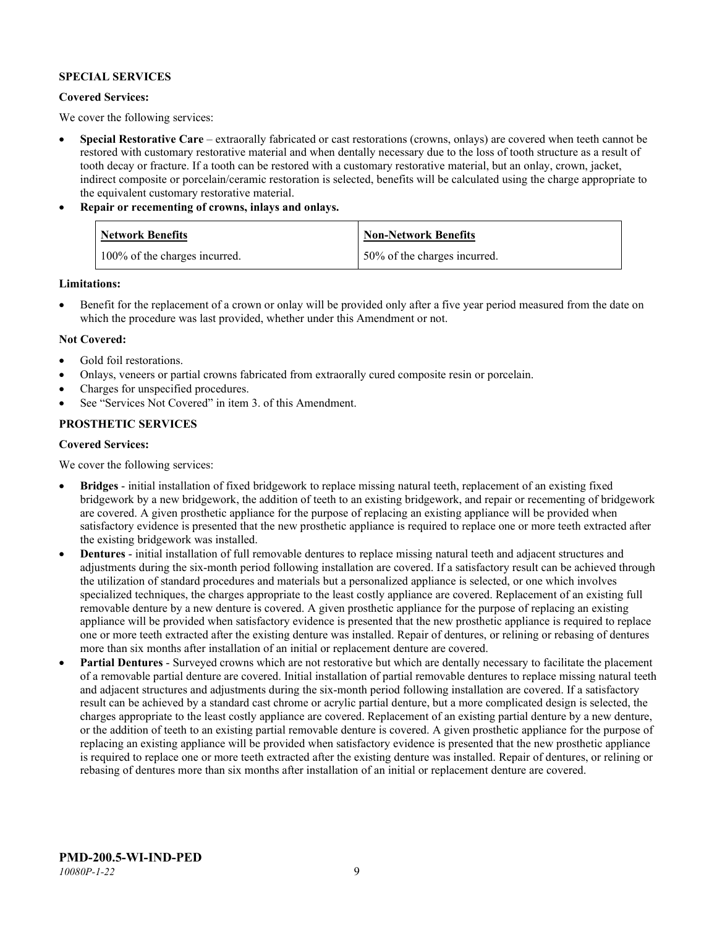### **SPECIAL SERVICES**

#### **Covered Services:**

We cover the following services:

- **Special Restorative Care** extraorally fabricated or cast restorations (crowns, onlays) are covered when teeth cannot be restored with customary restorative material and when dentally necessary due to the loss of tooth structure as a result of tooth decay or fracture. If a tooth can be restored with a customary restorative material, but an onlay, crown, jacket, indirect composite or porcelain/ceramic restoration is selected, benefits will be calculated using the charge appropriate to the equivalent customary restorative material.
- **Repair or recementing of crowns, inlays and onlays.**

| <b>Network Benefits</b>       | <b>Non-Network Benefits</b>  |
|-------------------------------|------------------------------|
| 100% of the charges incurred. | 50% of the charges incurred. |

**Limitations:**

• Benefit for the replacement of a crown or onlay will be provided only after a five year period measured from the date on which the procedure was last provided, whether under this Amendment or not.

### **Not Covered:**

- Gold foil restorations.
- Onlays, veneers or partial crowns fabricated from extraorally cured composite resin or porcelain.
- Charges for unspecified procedures.
- See "Services Not Covered" in item 3. of this Amendment.

### **PROSTHETIC SERVICES**

#### **Covered Services:**

We cover the following services:

- **Bridges** initial installation of fixed bridgework to replace missing natural teeth, replacement of an existing fixed bridgework by a new bridgework, the addition of teeth to an existing bridgework, and repair or recementing of bridgework are covered. A given prosthetic appliance for the purpose of replacing an existing appliance will be provided when satisfactory evidence is presented that the new prosthetic appliance is required to replace one or more teeth extracted after the existing bridgework was installed.
- **Dentures** initial installation of full removable dentures to replace missing natural teeth and adjacent structures and adjustments during the six-month period following installation are covered. If a satisfactory result can be achieved through the utilization of standard procedures and materials but a personalized appliance is selected, or one which involves specialized techniques, the charges appropriate to the least costly appliance are covered. Replacement of an existing full removable denture by a new denture is covered. A given prosthetic appliance for the purpose of replacing an existing appliance will be provided when satisfactory evidence is presented that the new prosthetic appliance is required to replace one or more teeth extracted after the existing denture was installed. Repair of dentures, or relining or rebasing of dentures more than six months after installation of an initial or replacement denture are covered.
- **Partial Dentures** Surveyed crowns which are not restorative but which are dentally necessary to facilitate the placement of a removable partial denture are covered. Initial installation of partial removable dentures to replace missing natural teeth and adjacent structures and adjustments during the six-month period following installation are covered. If a satisfactory result can be achieved by a standard cast chrome or acrylic partial denture, but a more complicated design is selected, the charges appropriate to the least costly appliance are covered. Replacement of an existing partial denture by a new denture, or the addition of teeth to an existing partial removable denture is covered. A given prosthetic appliance for the purpose of replacing an existing appliance will be provided when satisfactory evidence is presented that the new prosthetic appliance is required to replace one or more teeth extracted after the existing denture was installed. Repair of dentures, or relining or rebasing of dentures more than six months after installation of an initial or replacement denture are covered.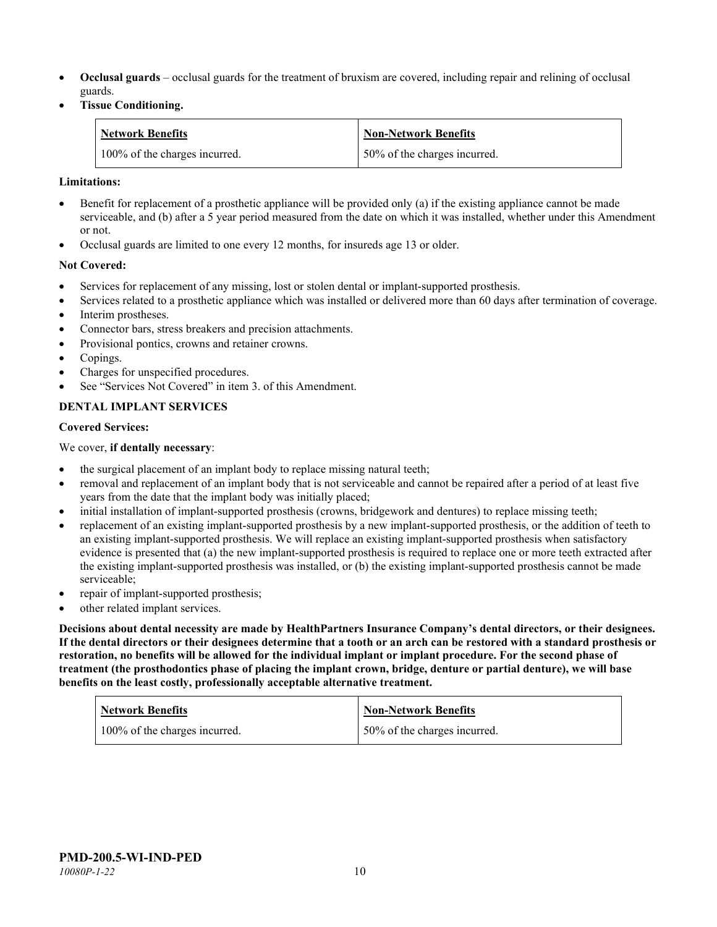- **Occlusal guards** occlusal guards for the treatment of bruxism are covered, including repair and relining of occlusal guards.
- **Tissue Conditioning.**

| <b>Network Benefits</b>       | <b>Non-Network Benefits</b>  |
|-------------------------------|------------------------------|
| 100% of the charges incurred. | 50% of the charges incurred. |

#### **Limitations:**

- Benefit for replacement of a prosthetic appliance will be provided only (a) if the existing appliance cannot be made serviceable, and (b) after a 5 year period measured from the date on which it was installed, whether under this Amendment or not.
- Occlusal guards are limited to one every 12 months, for insureds age 13 or older.

### **Not Covered:**

- Services for replacement of any missing, lost or stolen dental or implant-supported prosthesis.
- Services related to a prosthetic appliance which was installed or delivered more than 60 days after termination of coverage. Interim prostheses.
- Connector bars, stress breakers and precision attachments.
- Provisional pontics, crowns and retainer crowns.
- Copings.
- Charges for unspecified procedures.
- See "Services Not Covered" in item 3. of this Amendment.

# **DENTAL IMPLANT SERVICES**

#### **Covered Services:**

We cover, **if dentally necessary**:

- the surgical placement of an implant body to replace missing natural teeth;
- removal and replacement of an implant body that is not serviceable and cannot be repaired after a period of at least five years from the date that the implant body was initially placed;
- initial installation of implant-supported prosthesis (crowns, bridgework and dentures) to replace missing teeth;
- replacement of an existing implant-supported prosthesis by a new implant-supported prosthesis, or the addition of teeth to an existing implant-supported prosthesis. We will replace an existing implant-supported prosthesis when satisfactory evidence is presented that (a) the new implant-supported prosthesis is required to replace one or more teeth extracted after the existing implant-supported prosthesis was installed, or (b) the existing implant-supported prosthesis cannot be made serviceable;
- repair of implant-supported prosthesis;
- other related implant services.

**Decisions about dental necessity are made by HealthPartners Insurance Company's dental directors, or their designees. If the dental directors or their designees determine that a tooth or an arch can be restored with a standard prosthesis or restoration, no benefits will be allowed for the individual implant or implant procedure. For the second phase of treatment (the prosthodontics phase of placing the implant crown, bridge, denture or partial denture), we will base benefits on the least costly, professionally acceptable alternative treatment.**

| <b>Network Benefits</b>       | <b>Non-Network Benefits</b>  |
|-------------------------------|------------------------------|
| 100% of the charges incurred. | 50% of the charges incurred. |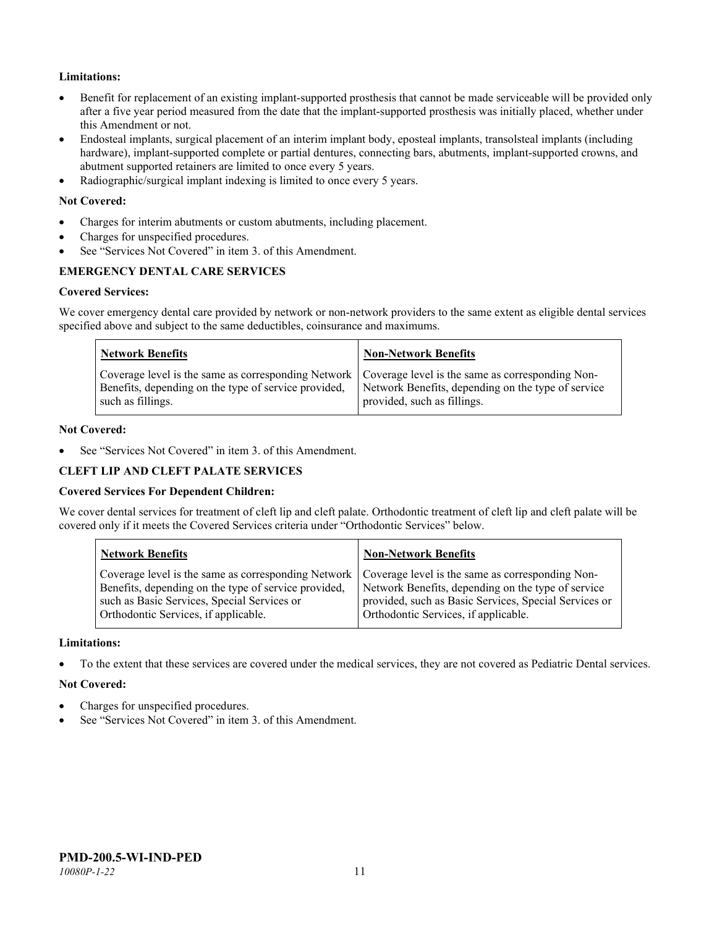# **Limitations:**

- Benefit for replacement of an existing implant-supported prosthesis that cannot be made serviceable will be provided only after a five year period measured from the date that the implant-supported prosthesis was initially placed, whether under this Amendment or not.
- Endosteal implants, surgical placement of an interim implant body, eposteal implants, transolsteal implants (including hardware), implant-supported complete or partial dentures, connecting bars, abutments, implant-supported crowns, and abutment supported retainers are limited to once every 5 years.
- Radiographic/surgical implant indexing is limited to once every 5 years.

#### **Not Covered:**

- Charges for interim abutments or custom abutments, including placement.
- Charges for unspecified procedures.
- See "Services Not Covered" in item 3, of this Amendment.

# **EMERGENCY DENTAL CARE SERVICES**

#### **Covered Services:**

We cover emergency dental care provided by network or non-network providers to the same extent as eligible dental services specified above and subject to the same deductibles, coinsurance and maximums.

| <b>Network Benefits</b>                                                                                                                                                             | <b>Non-Network Benefits</b>                                                       |
|-------------------------------------------------------------------------------------------------------------------------------------------------------------------------------------|-----------------------------------------------------------------------------------|
| Coverage level is the same as corresponding Network   Coverage level is the same as corresponding Non-<br>Benefits, depending on the type of service provided,<br>such as fillings. | Network Benefits, depending on the type of service<br>provided, such as fillings. |

#### **Not Covered:**

See "Services Not Covered" in item 3. of this Amendment.

#### **CLEFT LIP AND CLEFT PALATE SERVICES**

#### **Covered Services For Dependent Children:**

We cover dental services for treatment of cleft lip and cleft palate. Orthodontic treatment of cleft lip and cleft palate will be covered only if it meets the Covered Services criteria under "Orthodontic Services" below.

| <b>Network Benefits</b>                              | <b>Non-Network Benefits</b>                           |
|------------------------------------------------------|-------------------------------------------------------|
| Coverage level is the same as corresponding Network  | Coverage level is the same as corresponding Non-      |
| Benefits, depending on the type of service provided, | Network Benefits, depending on the type of service    |
| such as Basic Services, Special Services or          | provided, such as Basic Services, Special Services or |
| Orthodontic Services, if applicable.                 | Orthodontic Services, if applicable.                  |

#### **Limitations:**

• To the extent that these services are covered under the medical services, they are not covered as Pediatric Dental services.

#### **Not Covered:**

- Charges for unspecified procedures.
- See "Services Not Covered" in item 3. of this Amendment.